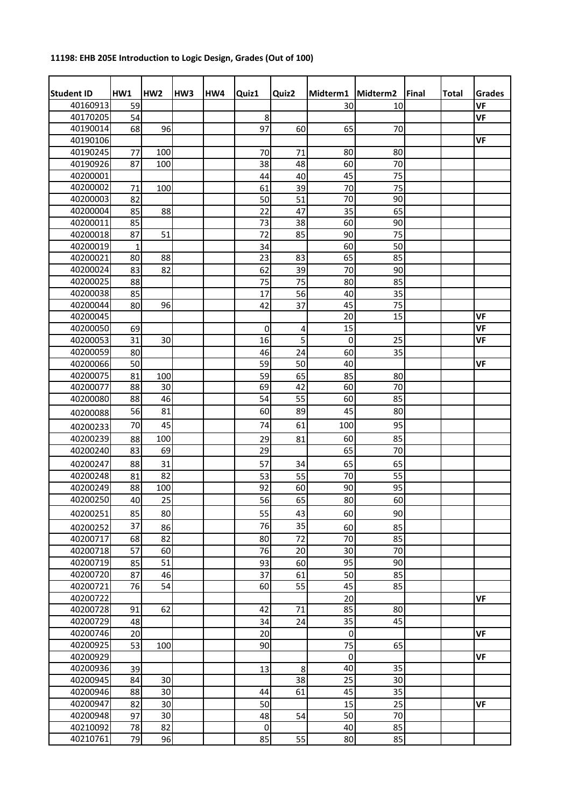## **11198: EHB 205E Introduction to Logic Design, Grades (Out of 100)**

| <b>Student ID</b> | HW1         | HW <sub>2</sub> | HW <sub>3</sub> | HW4 | Quiz1       | Quiz2          | Midterm1    | Midterm2 | Final | <b>Total</b> | Grades    |
|-------------------|-------------|-----------------|-----------------|-----|-------------|----------------|-------------|----------|-------|--------------|-----------|
| 40160913          | 59          |                 |                 |     |             |                | 30          | 10       |       |              | <b>VF</b> |
| 40170205          | 54          |                 |                 |     | 8           |                |             |          |       |              | <b>VF</b> |
| 40190014          | 68          | 96              |                 |     | 97          | 60             | 65          | 70       |       |              |           |
| 40190106          |             |                 |                 |     |             |                |             |          |       |              | <b>VF</b> |
| 40190245          | 77          | 100             |                 |     | 70          | 71             | 80          | 80       |       |              |           |
| 40190926          | 87          | 100             |                 |     | 38          | 48             | 60          | 70       |       |              |           |
| 40200001          |             |                 |                 |     | 44          | 40             | 45          | 75       |       |              |           |
| 40200002          | 71          | 100             |                 |     | 61          | 39             | 70          | 75       |       |              |           |
| 40200003          | 82          |                 |                 |     | 50          | 51             | 70          | 90       |       |              |           |
| 40200004          | 85          | 88              |                 |     | 22          | 47             | 35          | 65       |       |              |           |
| 40200011          | 85          |                 |                 |     | 73          | 38             | 60          | 90       |       |              |           |
| 40200018          | 87          | 51              |                 |     | 72          | 85             | 90          | 75       |       |              |           |
| 40200019          | $\mathbf 1$ |                 |                 |     | 34          |                | 60          | 50       |       |              |           |
| 40200021          | 80          | 88              |                 |     | 23          | 83             | 65          | 85       |       |              |           |
| 40200024          | 83          | 82              |                 |     | 62          | 39             | 70          | 90       |       |              |           |
| 40200025          | 88          |                 |                 |     | 75          | 75             | 80          | 85       |       |              |           |
| 40200038          | 85          |                 |                 |     | 17          | 56             | 40          | 35       |       |              |           |
| 40200044          | 80          | 96              |                 |     | 42          | 37             | 45          | 75       |       |              |           |
| 40200045          |             |                 |                 |     |             |                | 20          | 15       |       |              | VF        |
| 40200050          | 69          |                 |                 |     | $\mathbf 0$ | 4              | 15          |          |       |              | <b>VF</b> |
| 40200053          | 31          | 30              |                 |     | 16          | $\overline{5}$ | $\mathbf 0$ | 25       |       |              | <b>VF</b> |
| 40200059          | 80          |                 |                 |     | 46          | 24             | 60          | 35       |       |              |           |
| 40200066          | 50          |                 |                 |     | 59          | 50             | 40          |          |       |              | VF        |
| 40200075          | 81          | 100             |                 |     | 59          | 65             | 85          | 80       |       |              |           |
| 40200077          | 88          | 30              |                 |     | 69          | 42             | 60          | 70       |       |              |           |
| 40200080          | 88          | 46              |                 |     | 54          | 55             | 60          | 85       |       |              |           |
| 40200088          | 56          | 81              |                 |     | 60          | 89             | 45          | 80       |       |              |           |
|                   | 70          | 45              |                 |     | 74          | 61             | 100         | 95       |       |              |           |
| 40200233          |             |                 |                 |     |             |                |             |          |       |              |           |
| 40200239          | 88          | 100             |                 |     | 29          | 81             | 60          | 85       |       |              |           |
| 40200240          | 83          | 69              |                 |     | 29          |                | 65          | 70       |       |              |           |
| 40200247          | 88          | 31              |                 |     | 57          | 34             | 65          | 65       |       |              |           |
| 40200248          | 81          | 82              |                 |     | 53          | 55             | 70          | 55       |       |              |           |
| 40200249          | 88          | 100             |                 |     | 92          | 60             | 90          | 95       |       |              |           |
| 40200250          | 40          | 25              |                 |     | 56          | 65             | 80          | 60       |       |              |           |
| 40200251          | 85          | 80              |                 |     | 55          | 43             | 60          | 90       |       |              |           |
| 40200252          | 37          | 86              |                 |     | 76          | 35             | 60          | 85       |       |              |           |
| 40200717          | 68          | 82              |                 |     | 80          | 72             | 70          | 85       |       |              |           |
| 40200718          | 57          | 60              |                 |     | 76          | 20             | 30          | 70       |       |              |           |
| 40200719          | 85          | 51              |                 |     | 93          | 60             | 95          | 90       |       |              |           |
| 40200720          | 87          | 46              |                 |     | 37          | 61             | 50          | 85       |       |              |           |
| 40200721          | 76          | 54              |                 |     | 60          | 55             | 45          | 85       |       |              |           |
| 40200722          |             |                 |                 |     |             |                | 20          |          |       |              | <b>VF</b> |
| 40200728          | 91          | 62              |                 |     | 42          | 71             | 85          | 80       |       |              |           |
| 40200729          | 48          |                 |                 |     | 34          | 24             | 35          | 45       |       |              |           |
| 40200746          | 20          |                 |                 |     | 20          |                | $\pmb{0}$   |          |       |              | <b>VF</b> |
| 40200925          | 53          | 100             |                 |     | 90          |                | 75          | 65       |       |              |           |
| 40200929          |             |                 |                 |     |             |                | $\mathbf 0$ |          |       |              | <b>VF</b> |
| 40200936          | 39          |                 |                 |     | 13          | 8              | 40          | 35       |       |              |           |
| 40200945          | 84          | 30              |                 |     |             | 38             | 25          | 30       |       |              |           |
|                   | 88          | 30              |                 |     | 44          |                | 45          | 35       |       |              |           |
| 40200946          |             |                 |                 |     |             | 61             |             |          |       |              |           |
| 40200947          | 82          | 30              |                 |     | 50          |                | 15          | 25       |       |              | <b>VF</b> |
| 40200948          | 97          | 30              |                 |     | 48          | 54             | 50          | 70       |       |              |           |
| 40210092          | 78          | 82              |                 |     | $\pmb{0}$   |                | 40          | 85       |       |              |           |
| 40210761          | 79          | 96              |                 |     | 85          | 55             | 80          | 85       |       |              |           |